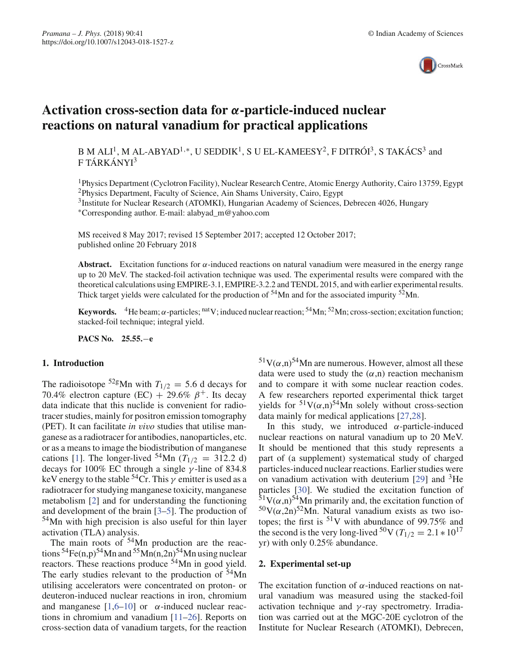

# **Activation cross-section data for** *α***-particle-induced nuclear reactions on natural vanadium for practical applications**

B M ALI<sup>1</sup>, M AL-ABYAD<sup>1,\*</sup>, U SEDDIK<sup>1</sup>, S U EL-KAMEESY<sup>2</sup>, F DITRÓI<sup>3</sup>, S TAKÁCS<sup>3</sup> and F TÁRKÁNYI<sup>3</sup>

1Physics Department (Cyclotron Facility), Nuclear Research Centre, Atomic Energy Authority, Cairo 13759, Egypt 2Physics Department, Faculty of Science, Ain Shams University, Cairo, Egypt

<sup>3</sup>Institute for Nuclear Research (ATOMKI), Hungarian Academy of Sciences, Debrecen 4026, Hungary ∗Corresponding author. E-mail: alabyad\_m@yahoo.com

MS received 8 May 2017; revised 15 September 2017; accepted 12 October 2017; published online 20 February 2018

**Abstract.** Excitation functions for  $\alpha$ -induced reactions on natural vanadium were measured in the energy range up to 20 MeV. The stacked-foil activation technique was used. The experimental results were compared with the theoretical calculations using EMPIRE-3.1, EMPIRE-3.2.2 and TENDL 2015, and with earlier experimental results. Thick target yields were calculated for the production of  $54$ Mn and for the associated impurity  $52$ Mn.

**Keywords.** <sup>4</sup>He beam;  $\alpha$ -particles; <sup>nat</sup>V; induced nuclear reaction; <sup>54</sup>Mn; <sup>52</sup>Mn; cross-section; excitation function; stacked-foil technique; integral yield.

**PACS No. 25.55.**−**e**

### **1. Introduction**

The radioisotope <sup>52g</sup>Mn with  $T_{1/2} = 5.6$  d decays for 70.4% electron capture (EC) + 29.6%  $\beta^+$ . Its decay data indicate that this nuclide is convenient for radiotracer studies, mainly for positron emission tomography (PET). It can facilitate *in vivo* studies that utilise manganese as a radiotracer for antibodies, nanoparticles, etc. or as a means to image the biodistribution of manganese cations [1]. The longer-lived <sup>54</sup>Mn ( $T_{1/2}$  = 312.2 d) decays for 100% EC through a single  $\gamma$ -line of 834.8 keV energy to the stable  $54Cr$ . This  $\gamma$  emitter is used as a radiotracer for studying manganese toxicity, manganese metabolism [2] and for understanding the functioning and development of the brain [3–5]. The production of 54Mn with high precision is also useful for thin layer activation (TLA) analysis.

The main roots of <sup>54</sup>Mn production are the reactions  ${}^{54}Fe(n,p){}^{54}Mn$  and  ${}^{55}Mn(n,2n){}^{54}Mn$  using nuclear reactors. These reactions produce <sup>54</sup>Mn in good yield. The early studies relevant to the production of  $54$ Mn utilising accelerators were concentrated on proton- or deuteron-induced nuclear reactions in iron, chromium and manganese  $[1,6-10]$  or  $\alpha$ -induced nuclear reactions in chromium and vanadium [11–26]. Reports on cross-section data of vanadium targets, for the reaction  $51V(\alpha,n)^{54}$ Mn are numerous. However, almost all these data were used to study the  $(\alpha, n)$  reaction mechanism and to compare it with some nuclear reaction codes. A few researchers reported experimental thick target yields for  $51V(\alpha,n)^{54}$ Mn solely without cross-section data mainly for medical applications [27,28].

In this study, we introduced  $\alpha$ -particle-induced nuclear reactions on natural vanadium up to 20 MeV. It should be mentioned that this study represents a part of (a supplement) systematical study of charged particles-induced nuclear reactions. Earlier studies were on vanadium activation with deuterium [29] and 3He particles [30]. We studied the excitation function of  $51V(\alpha,n)$ <sup>54</sup>Mn primarily and, the excitation function of  $50V(\alpha,2n)^{52}$ Mn. Natural vanadium exists as two isotopes; the first is  $51V$  with abundance of 99.75% and the second is the very long-lived <sup>50</sup>V ( $T_{1/2} = 2.1 * 10^{17}$ yr) with only 0.25% abundance.

### **2. Experimental set-up**

The excitation function of  $\alpha$ -induced reactions on natural vanadium was measured using the stacked-foil activation technique and  $\gamma$ -ray spectrometry. Irradiation was carried out at the MGC-20E cyclotron of the Institute for Nuclear Research (ATOMKI), Debrecen,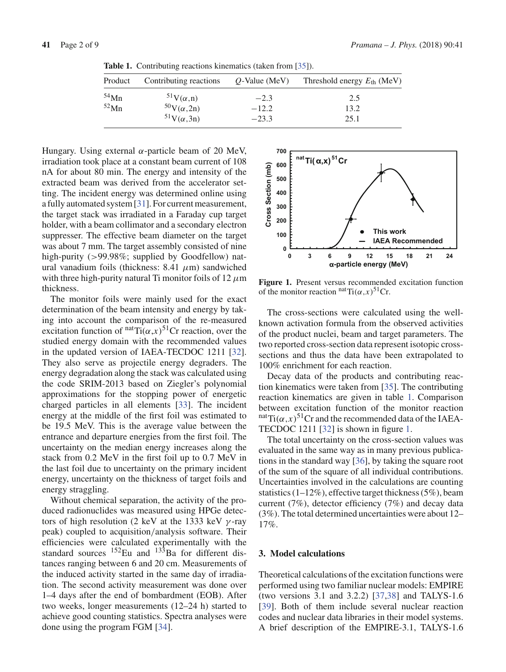| Product | Contributing reactions | $Q$ -Value (MeV) | Threshold energy $E_{\text{th}}$ (MeV) |
|---------|------------------------|------------------|----------------------------------------|
| $54$ Mn | $51V(\alpha,n)$        | $-2.3$           | 2.5                                    |
| $52$ Mn | $50V(\alpha,2n)$       | $-12.2$          | 13.2                                   |
|         | $51V(\alpha,3n)$       | $-23.3$          | 25.1                                   |

**Table 1.** Contributing reactions kinematics (taken from [35]).

Hungary. Using external α-particle beam of 20 MeV, irradiation took place at a constant beam current of 108 nA for about 80 min. The energy and intensity of the extracted beam was derived from the accelerator setting. The incident energy was determined online using a fully automated system [31]. For current measurement, the target stack was irradiated in a Faraday cup target holder, with a beam collimator and a secondary electron suppresser. The effective beam diameter on the target was about 7 mm. The target assembly consisted of nine high-purity (>99.98%; supplied by Goodfellow) natural vanadium foils (thickness:  $8.41 \mu m$ ) sandwiched with three high-purity natural Ti monitor foils of 12  $\mu$ m thickness.

The monitor foils were mainly used for the exact determination of the beam intensity and energy by taking into account the comparison of the re-measured excitation function of  $\text{natTi}(\alpha, x)$ <sup>51</sup>Cr reaction, over the studied energy domain with the recommended values in the updated version of IAEA-TECDOC 1211 [32]. They also serve as projectile energy degraders. The energy degradation along the stack was calculated using the code SRIM-2013 based on Ziegler's polynomial approximations for the stopping power of energetic charged particles in all elements [33]. The incident energy at the middle of the first foil was estimated to be 19.5 MeV. This is the average value between the entrance and departure energies from the first foil. The uncertainty on the median energy increases along the stack from 0.2 MeV in the first foil up to 0.7 MeV in the last foil due to uncertainty on the primary incident energy, uncertainty on the thickness of target foils and energy straggling.

Without chemical separation, the activity of the produced radionuclides was measured using HPGe detectors of high resolution (2 keV at the 1333 keV  $\gamma$ -ray peak) coupled to acquisition/analysis software. Their efficiencies were calculated experimentally with the standard sources  $^{152}$ Eu and  $^{133}$ Ba for different distances ranging between 6 and 20 cm. Measurements of the induced activity started in the same day of irradiation. The second activity measurement was done over 1–4 days after the end of bombardment (EOB). After two weeks, longer measurements (12–24 h) started to achieve good counting statistics. Spectra analyses were done using the program FGM [34].



**Figure 1.** Present versus recommended excitation function of the monitor reaction  $<sup>nat</sup>Ti(\alpha, x)^{51}Cr$ .</sup>

The cross-sections were calculated using the wellknown activation formula from the observed activities of the product nuclei, beam and target parameters. The two reported cross-section data represent isotopic crosssections and thus the data have been extrapolated to 100% enrichment for each reaction.

Decay data of the products and contributing reaction kinematics were taken from [35]. The contributing reaction kinematics are given in table 1. Comparison between excitation function of the monitor reaction  $n^{\text{nat}}$ Ti $(\alpha, x)^{51}$ Cr and the recommended data of the IAEA-TECDOC 1211 [32] is shown in figure 1.

The total uncertainty on the cross-section values was evaluated in the same way as in many previous publications in the standard way [36], by taking the square root of the sum of the square of all individual contributions. Uncertainties involved in the calculations are counting statistics (1–12%), effective target thickness (5%), beam current (7%), detector efficiency (7%) and decay data (3%). The total determined uncertainties were about 12– 17%.

### **3. Model calculations**

Theoretical calculations of the excitation functions were performed using two familiar nuclear models: EMPIRE (two versions 3.1 and 3.2.2) [37,38] and TALYS-1.6 [39]. Both of them include several nuclear reaction codes and nuclear data libraries in their model systems. A brief description of the EMPIRE-3.1, TALYS-1.6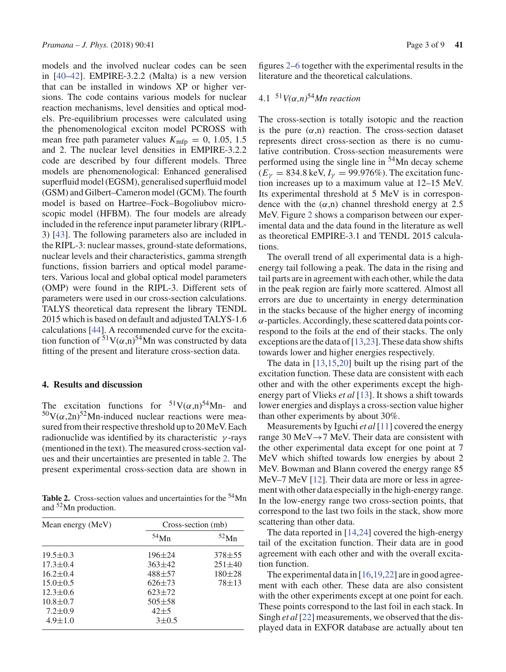models and the involved nuclear codes can be seen in [40–42]. EMPIRE-3.2.2 (Malta) is a new version that can be installed in windows XP or higher versions. The code contains various models for nuclear reaction mechanisms, level densities and optical models. Pre-equilibrium processes were calculated using the phenomenological exciton model PCROSS with mean free path parameter values  $K_{\text{mfp}} = 0, 1.05, 1.5$ and 2. The nuclear level densities in EMPIRE-3.2.2 code are described by four different models. Three models are phenomenological: Enhanced generalised superfluid model (EGSM), generalised superfluid model (GSM) and Gilbert–Cameron model (GCM). The fourth model is based on Hartree–Fock–Bogoliubov microscopic model (HFBM). The four models are already included in the reference input parameter library (RIPL-3) [43]. The following parameters also are included in the RIPL-3: nuclear masses, ground-state deformations, nuclear levels and their characteristics, gamma strength functions, fission barriers and optical model parameters. Various local and global optical model parameters (OMP) were found in the RIPL-3. Different sets of parameters were used in our cross-section calculations. TALYS theoretical data represent the library TENDL 2015 which is based on default and adjusted TALYS-1.6 calculations [44]. A recommended curve for the excitation function of  $51V(\alpha,n)$ <sup>54</sup>Mn was constructed by data fitting of the present and literature cross-section data.

### **4. Results and discussion**

The excitation functions for  $51V(\alpha,n)$ <sup>54</sup>Mn- and  $50V(\alpha,2n)$ <sup>52</sup>Mn-induced nuclear reactions were measured from their respective threshold up to 20 MeV. Each radionuclide was identified by its characteristic  $\gamma$ -rays (mentioned in the text). The measured cross-section values and their uncertainties are presented in table 2. The present experimental cross-section data are shown in

Table 2. Cross-section values and uncertainties for the <sup>54</sup>Mn and 52Mn production.

| Mean energy (MeV) | Cross-section (mb) |              |  |  |  |  |
|-------------------|--------------------|--------------|--|--|--|--|
|                   | $54$ Mn            | 52Mn         |  |  |  |  |
| $19.5 \pm 0.3$    | $196 \pm 24$       | $378 + 55$   |  |  |  |  |
| $17.3 \pm 0.4$    | $363 \pm 42$       | $251 \pm 40$ |  |  |  |  |
| $16.2 \pm 0.4$    | 488±57             | $180 + 28$   |  |  |  |  |
| $15.0 \pm 0.5$    | $626 \pm 73$       | $78 + 13$    |  |  |  |  |
| $12.3 \pm 0.6$    | $623 \pm 72$       |              |  |  |  |  |
| $10.8 \pm 0.7$    | $505 \pm 58$       |              |  |  |  |  |
| $7.2 \pm 0.9$     | $42 + 5$           |              |  |  |  |  |
| $4.9 \pm 1.0$     | $3 \pm 0.5$        |              |  |  |  |  |

figures 2–6 together with the experimental results in the literature and the theoretical calculations.

## 4.1 <sup>51</sup>*V(*α*,n)*54*Mn reaction*

The cross-section is totally isotopic and the reaction is the pure  $(\alpha, n)$  reaction. The cross-section dataset represents direct cross-section as there is no cumulative contribution. Cross-section measurements were performed using the single line in  $54$ Mn decay scheme  $(E<sub>V</sub> = 834.8 \text{ keV}, I<sub>V</sub> = 99.976\%)$ . The excitation function increases up to a maximum value at 12–15 MeV. Its experimental threshold at 5 MeV is in correspondence with the  $(\alpha, n)$  channel threshold energy at 2.5 MeV. Figure 2 shows a comparison between our experimental data and the data found in the literature as well as theoretical EMPIRE-3.1 and TENDL 2015 calculations.

The overall trend of all experimental data is a highenergy tail following a peak. The data in the rising and tail parts are in agreement with each other, while the data in the peak region are fairly more scattered. Almost all errors are due to uncertainty in energy determination in the stacks because of the higher energy of incoming  $\alpha$ -particles. Accordingly, these scattered data points correspond to the foils at the end of their stacks. The only exceptions are the data of  $[13,23]$ . These data show shifts towards lower and higher energies respectively.

The data in [13,15,20] built up the rising part of the excitation function. These data are consistent with each other and with the other experiments except the highenergy part of Vlieks *et al* [13]. It shows a shift towards lower energies and displays a cross-section value higher than other experiments by about 30%.

Measurements by Iguchi *et al* [11] covered the energy range 30 MeV $\rightarrow$ 7 MeV. Their data are consistent with the other experimental data except for one point at 7 MeV which shifted towards low energies by about 2 MeV. Bowman and Blann covered the energy range 85 MeV–7 MeV [12]. Their data are more or less in agreement with other data especially in the high-energy range. In the low-energy range two cross-section points, that correspond to the last two foils in the stack, show more scattering than other data.

The data reported in [14,24] covered the high-energy tail of the excitation function. Their data are in good agreement with each other and with the overall excitation function.

The experimental data in  $[16, 19, 22]$  are in good agreement with each other. These data are also consistent with the other experiments except at one point for each. These points correspond to the last foil in each stack. In Singh *et al* [22] measurements, we observed that the displayed data in EXFOR database are actually about ten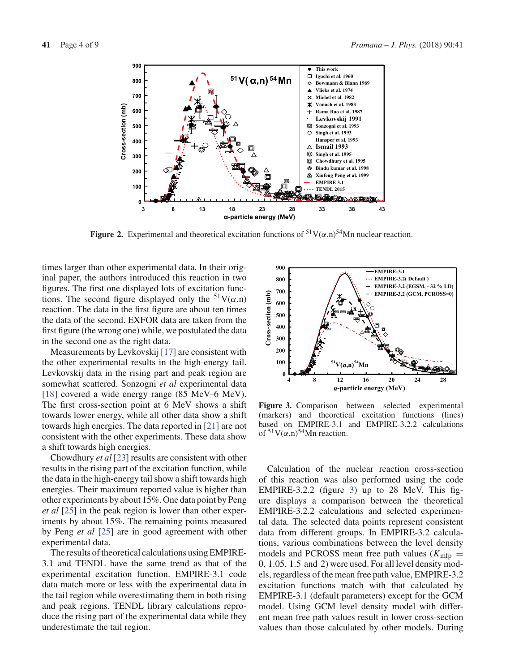

**Figure 2.** Experimental and theoretical excitation functions of  ${}^{51}V(\alpha,n){}^{54}Mn$  nuclear reaction.

times larger than other experimental data. In their original paper, the authors introduced this reaction in two figures. The first one displayed lots of excitation functions. The second figure displayed only the  $51V(\alpha,n)$ reaction. The data in the first figure are about ten times the data of the second. EXFOR data are taken from the first figure (the wrong one) while, we postulated the data in the second one as the right data.

Measurements by Levkovskij [17] are consistent with the other experimental results in the high-energy tail. Levkovskij data in the rising part and peak region are somewhat scattered. Sonzogni *et al* experimental data [18] covered a wide energy range (85 MeV–6 MeV). The first cross-section point at 6 MeV shows a shift towards lower energy, while all other data show a shift towards high energies. The data reported in [21] are not consistent with the other experiments. These data show a shift towards high energies.

Chowdhury *et al* [23] results are consistent with other results in the rising part of the excitation function, while the data in the high-energy tail show a shift towards high energies. Their maximum reported value is higher than other experiments by about 15%. One data point by Peng *et al* [25] in the peak region is lower than other experiments by about 15%. The remaining points measured by Peng *et al* [25] are in good agreement with other experimental data.

The results of theoretical calculations using EMPIRE-3.1 and TENDL have the same trend as that of the experimental excitation function. EMPIRE-3.1 code data match more or less with the experimental data in the tail region while overestimating them in both rising and peak regions. TENDL library calculations reproduce the rising part of the experimental data while they underestimate the tail region.



**Figure 3.** Comparison between selected experimental (markers) and theoretical excitation functions (lines) based on EMPIRE-3.1 and EMPIRE-3.2.2 calculations of  $51V(\alpha,n)^{54}$ Mn reaction.

Calculation of the nuclear reaction cross-section of this reaction was also performed using the code EMPIRE-3.2.2 (figure 3) up to 28 MeV. This figure displays a comparison between the theoretical EMPIRE-3.2.2 calculations and selected experimental data. The selected data points represent consistent data from different groups. In EMPIRE-3.2 calculations, various combinations between the level density models and PCROSS mean free path values ( $K_{\text{mfp}} =$ 0, 1.05, 1.5 and 2) were used. For all level density models, regardless of the mean free path value, EMPIRE-3.2 excitation functions match with that calculated by EMPIRE-3.1 (default parameters) except for the GCM model. Using GCM level density model with different mean free path values result in lower cross-section values than those calculated by other models. During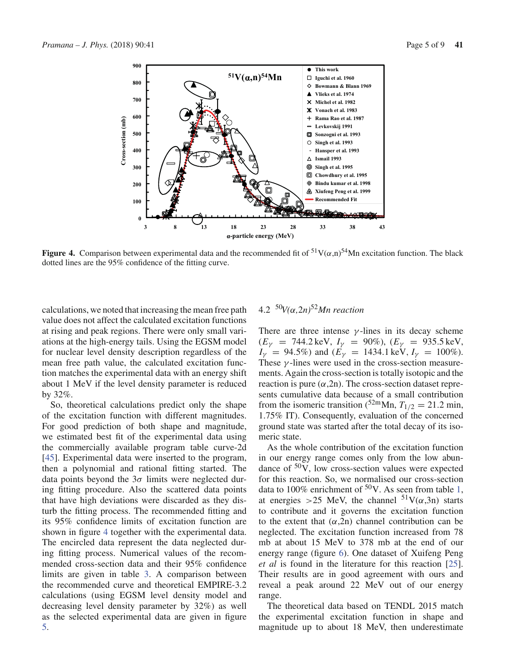

**Figure 4.** Comparison between experimental data and the recommended fit of  ${}^{51}V(\alpha,n){}^{54}Mn$  excitation function. The black dotted lines are the 95% confidence of the fitting curve.

calculations, we noted that increasing the mean free path value does not affect the calculated excitation functions at rising and peak regions. There were only small variations at the high-energy tails. Using the EGSM model for nuclear level density description regardless of the mean free path value, the calculated excitation function matches the experimental data with an energy shift about 1 MeV if the level density parameter is reduced by 32%.

So, theoretical calculations predict only the shape of the excitation function with different magnitudes. For good prediction of both shape and magnitude, we estimated best fit of the experimental data using the commercially available program table curve-2d [45]. Experimental data were inserted to the program, then a polynomial and rational fitting started. The data points beyond the  $3\sigma$  limits were neglected during fitting procedure. Also the scattered data points that have high deviations were discarded as they disturb the fitting process. The recommended fitting and its 95% confidence limits of excitation function are shown in figure 4 together with the experimental data. The encircled data represent the data neglected during fitting process. Numerical values of the recommended cross-section data and their 95% confidence limits are given in table 3. A comparison between the recommended curve and theoretical EMPIRE-3.2 calculations (using EGSM level density model and decreasing level density parameter by 32%) as well as the selected experimental data are given in figure 5.

# 4.2 <sup>50</sup>*V(*α*,*2*n)*52*Mn reaction*

There are three intense  $\gamma$ -lines in its decay scheme  $(E_{\gamma} = 744.2 \text{ keV}, I_{\gamma} = 90\%), (E_{\gamma} = 935.5 \text{ keV},$  $I_V = 94.5\%$ ) and  $(E_V = 1434.1 \,\text{keV}, I_V = 100\%$ ). These  $\gamma$ -lines were used in the cross-section measurements. Again the cross-section is totally isotopic and the reaction is pure  $(\alpha, 2n)$ . The cross-section dataset represents cumulative data because of a small contribution from the isomeric transition ( $52 \text{m}$ Mn,  $T_{1/2} = 21.2 \text{ min}$ , 1.75% IT). Consequently, evaluation of the concerned ground state was started after the total decay of its isomeric state.

As the whole contribution of the excitation function in our energy range comes only from the low abundance of  $50<sup>o</sup>$ , low cross-section values were expected for this reaction. So, we normalised our cross-section data to 100% enrichment of  $50V$ . As seen from table 1, at energies >25 MeV, the channel  $51V(\alpha,3n)$  starts to contribute and it governs the excitation function to the extent that  $(\alpha, 2n)$  channel contribution can be neglected. The excitation function increased from 78 mb at about 15 MeV to 378 mb at the end of our energy range (figure 6). One dataset of Xuifeng Peng *et al* is found in the literature for this reaction [25]. Their results are in good agreement with ours and reveal a peak around 22 MeV out of our energy range.

The theoretical data based on TENDL 2015 match the experimental excitation function in shape and magnitude up to about 18 MeV, then underestimate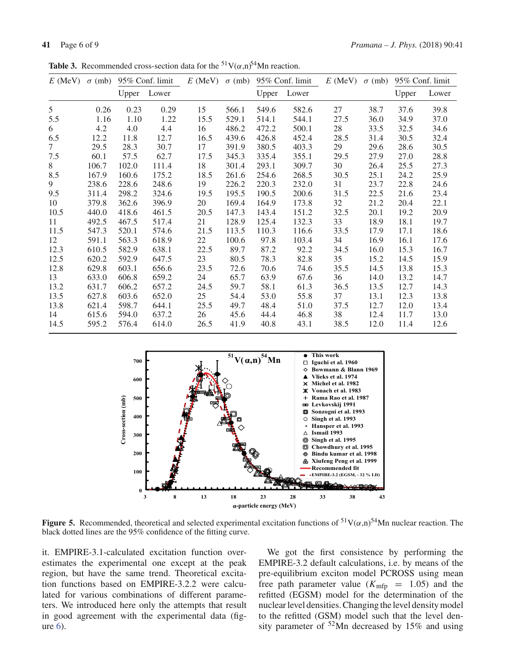**Table 3.** Recommended cross-section data for the <sup>51</sup>V( $\alpha$ ,n)<sup>54</sup>Mn reaction.

| $E$ (MeV) | $\sigma$ (mb) |       | 95% Conf. limit | $E$ (MeV) | $\sigma$ (mb) | 95% Conf. limit |       | $E$ (MeV) $\sigma$ (mb) |      |       | 95% Conf. limit |  |
|-----------|---------------|-------|-----------------|-----------|---------------|-----------------|-------|-------------------------|------|-------|-----------------|--|
|           |               | Upper | Lower           |           |               | Upper           | Lower |                         |      | Upper | Lower           |  |
| 5         | 0.26          | 0.23  | 0.29            | 15        | 566.1         | 549.6           | 582.6 | 27                      | 38.7 | 37.6  | 39.8            |  |
| 5.5       | 1.16          | 1.10  | 1.22            | 15.5      | 529.1         | 514.1           | 544.1 | 27.5                    | 36.0 | 34.9  | 37.0            |  |
| 6         | 4.2           | 4.0   | 4.4             | 16        | 486.2         | 472.2           | 500.1 | 28                      | 33.5 | 32.5  | 34.6            |  |
| 6.5       | 12.2          | 11.8  | 12.7            | 16.5      | 439.6         | 426.8           | 452.4 | 28.5                    | 31.4 | 30.5  | 32.4            |  |
| $\tau$    | 29.5          | 28.3  | 30.7            | 17        | 391.9         | 380.5           | 403.3 | 29                      | 29.6 | 28.6  | 30.5            |  |
| 7.5       | 60.1          | 57.5  | 62.7            | 17.5      | 345.3         | 335.4           | 355.1 | 29.5                    | 27.9 | 27.0  | 28.8            |  |
| 8         | 106.7         | 102.0 | 111.4           | 18        | 301.4         | 293.1           | 309.7 | 30                      | 26.4 | 25.5  | 27.3            |  |
| 8.5       | 167.9         | 160.6 | 175.2           | 18.5      | 261.6         | 254.6           | 268.5 | 30.5                    | 25.1 | 24.2  | 25.9            |  |
| 9         | 238.6         | 228.6 | 248.6           | 19        | 226.2         | 220.3           | 232.0 | 31                      | 23.7 | 22.8  | 24.6            |  |
| 9.5       | 311.4         | 298.2 | 324.6           | 19.5      | 195.5         | 190.5           | 200.6 | 31.5                    | 22.5 | 21.6  | 23.4            |  |
| 10        | 379.8         | 362.6 | 396.9           | 20        | 169.4         | 164.9           | 173.8 | 32                      | 21.2 | 20.4  | 22.1            |  |
| 10.5      | 440.0         | 418.6 | 461.5           | 20.5      | 147.3         | 143.4           | 151.2 | 32.5                    | 20.1 | 19.2  | 20.9            |  |
| 11        | 492.5         | 467.5 | 517.4           | 21        | 128.9         | 125.4           | 132.3 | 33                      | 18.9 | 18.1  | 19.7            |  |
| 11.5      | 547.3         | 520.1 | 574.6           | 21.5      | 113.5         | 110.3           | 116.6 | 33.5                    | 17.9 | 17.1  | 18.6            |  |
| 12        | 591.1         | 563.3 | 618.9           | 22        | 100.6         | 97.8            | 103.4 | 34                      | 16.9 | 16.1  | 17.6            |  |
| 12.3      | 610.5         | 582.9 | 638.1           | 22.5      | 89.7          | 87.2            | 92.2  | 34.5                    | 16.0 | 15.3  | 16.7            |  |
| 12.5      | 620.2         | 592.9 | 647.5           | 23        | 80.5          | 78.3            | 82.8  | 35                      | 15.2 | 14.5  | 15.9            |  |
| 12.8      | 629.8         | 603.1 | 656.6           | 23.5      | 72.6          | 70.6            | 74.6  | 35.5                    | 14.5 | 13.8  | 15.3            |  |
| 13        | 633.0         | 606.8 | 659.2           | 24        | 65.7          | 63.9            | 67.6  | 36                      | 14.0 | 13.2  | 14.7            |  |
| 13.2      | 631.7         | 606.2 | 657.2           | 24.5      | 59.7          | 58.1            | 61.3  | 36.5                    | 13.5 | 12.7  | 14.3            |  |
| 13.5      | 627.8         | 603.6 | 652.0           | 25        | 54.4          | 53.0            | 55.8  | 37                      | 13.1 | 12.3  | 13.8            |  |
| 13.8      | 621.4         | 598.7 | 644.1           | 25.5      | 49.7          | 48.4            | 51.0  | 37.5                    | 12.7 | 12.0  | 13.4            |  |
| 14        | 615.6         | 594.0 | 637.2           | 26        | 45.6          | 44.4            | 46.8  | 38                      | 12.4 | 11.7  | 13.0            |  |
| 14.5      | 595.2         | 576.4 | 614.0           | 26.5      | 41.9          | 40.8            | 43.1  | 38.5                    | 12.0 | 11.4  | 12.6            |  |



**Figure 5.** Recommended, theoretical and selected experimental excitation functions of  $51V(\alpha,n)$ <sup>54</sup>Mn nuclear reaction. The black dotted lines are the 95% confidence of the fitting curve.

it. EMPIRE-3.1-calculated excitation function overestimates the experimental one except at the peak region, but have the same trend. Theoretical excitation functions based on EMPIRE-3.2.2 were calculated for various combinations of different parameters. We introduced here only the attempts that result in good agreement with the experimental data (figure 6).

We got the first consistence by performing the EMPIRE-3.2 default calculations, i.e. by means of the pre-equilibrium exciton model PCROSS using mean free path parameter value  $(K_{\text{mfp}} = 1.05)$  and the refitted (EGSM) model for the determination of the nuclear level densities. Changing the level density model to the refitted (GSM) model such that the level density parameter of 52Mn decreased by 15% and using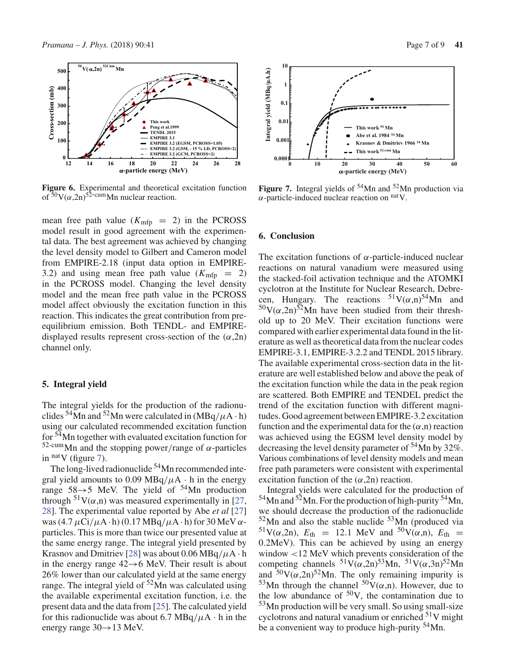

**Figure 6.** Experimental and theoretical excitation function of  $50V(\alpha,2n)$ <sup>52-cum</sup>Mn nuclear reaction.

mean free path value  $(K_{\text{mfp}} = 2)$  in the PCROSS model result in good agreement with the experimental data. The best agreement was achieved by changing the level density model to Gilbert and Cameron model from EMPIRE-2.18 (input data option in EMPIRE-3.2) and using mean free path value  $(K_{\text{mfp}} = 2)$ in the PCROSS model. Changing the level density model and the mean free path value in the PCROSS model affect obviously the excitation function in this reaction. This indicates the great contribution from preequilibrium emission. Both TENDL- and EMPIREdisplayed results represent cross-section of the  $(\alpha, 2n)$ channel only.

### **5. Integral yield**

The integral yields for the production of the radionuclides  $54$ Mn and  $52$ Mn were calculated in (MBq/ $\mu$ A · h) using our calculated recommended excitation function for 54Mn together with evaluated excitation function for 52-cumMn and the stopping power/range of α-particles in  $<sup>nat</sup>V$  (figure 7).</sup>

The long-lived radionuclide <sup>54</sup>Mn recommended integral yield amounts to 0.09 MBq/ $\mu$ A · h in the energy range  $58\rightarrow 5$  MeV. The yield of  $54$ Mn production through  $51V(\alpha,n)$  was measured experimentally in [27, 28]. The experimental value reported by Abe *et al* [27] was  $(4.7 \mu\text{Ci}/\mu\text{A} \cdot \text{h})$  (0.17 MBq/ $\mu\text{A} \cdot \text{h}$ ) for 30 MeV  $\alpha$ particles. This is more than twice our presented value at the same energy range. The integral yield presented by Krasnov and Dmitriev [28] was about 0.06 MBq/ $\mu$ A · h in the energy range  $42 \rightarrow 6$  MeV. Their result is about 26% lower than our calculated yield at the same energy range. The integral yield of  $52$ Mn was calculated using the available experimental excitation function, i.e. the present data and the data from [25]. The calculated yield for this radionuclide was about 6.7 MBq/ $\mu$ A · h in the energy range 30→13 MeV.



**Figure 7.** Integral yields of  $54$ Mn and  $52$ Mn production via  $\alpha$ -particle-induced nuclear reaction on  $\alpha$ <sup>nat</sup>V.

### **6. Conclusion**

The excitation functions of  $\alpha$ -particle-induced nuclear reactions on natural vanadium were measured using the stacked-foil activation technique and the ATOMKI cyclotron at the Institute for Nuclear Research, Debrecen, Hungary. The reactions  $51V(\alpha,n)^{54}$ Mn and  $50V(\alpha,2n)$ <sup>52</sup>Mn have been studied from their threshold up to 20 MeV. Their excitation functions were compared with earlier experimental data found in the literature as well as theoretical data from the nuclear codes EMPIRE-3.1, EMPIRE-3.2.2 and TENDL 2015 library. The available experimental cross-section data in the literature are well established below and above the peak of the excitation function while the data in the peak region are scattered. Both EMPIRE and TENDEL predict the trend of the excitation function with different magnitudes. Good agreement between EMPIRE-3.2 excitation function and the experimental data for the  $(\alpha, n)$  reaction was achieved using the EGSM level density model by decreasing the level density parameter of  $54$ Mn by 32%. Various combinations of level density models and mean free path parameters were consistent with experimental excitation function of the  $(\alpha, 2n)$  reaction.

Integral yields were calculated for the production of  $54$ Mn and  $52$ Mn. For the production of high-purity  $54$ Mn, we should decrease the production of the radionuclide  $52$ Mn and also the stable nuclide  $53$ Mn (produced via <sup>51</sup>V( $\alpha$ ,2n),  $E_{\text{th}} = 12.1$  MeV and <sup>50</sup>V( $\alpha$ ,n),  $E_{\text{th}} =$ 0.2MeV). This can be achieved by using an energy window <12 MeV which prevents consideration of the competing channels  ${}^{51}V(\alpha,2n){}^{53}Mn$ ,  ${}^{51}V(\alpha,3n){}^{52}Mn$ and  $50V(\alpha,2n)$ <sup>52</sup>Mn. The only remaining impurity is <sup>53</sup>Mn through the channel  $50V(\alpha,n)$ . However, due to the low abundance of  $50V$ , the contamination due to  $53$ Mn production will be very small. So using small-size cyclotrons and natural vanadium or enriched  $51V$  might be a convenient way to produce high-purity 54Mn.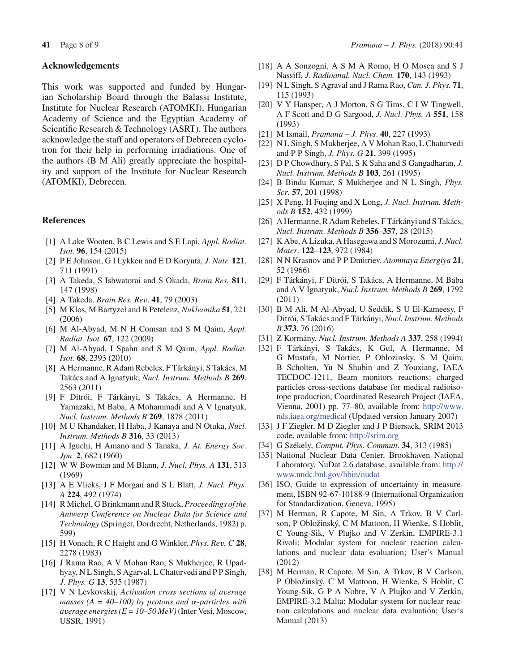### **Acknowledgements**

This work was supported and funded by Hungarian Scholarship Board through the Balassi Institute, Institute for Nuclear Research (ATOMKI), Hungarian Academy of Science and the Egyptian Academy of Scientific Research & Technology (ASRT). The authors acknowledge the staff and operators of Debrecen cyclotron for their help in performing irradiations. One of the authors (B M Ali) greatly appreciate the hospitality and support of the Institute for Nuclear Research (ATOMKI), Debrecen.

### **References**

- [1] A Lake Wooten, B C Lewis and S E Lapi, *Appl. Radiat. Isot.* **96**, 154 (2015)
- [2] P E Johnson, G I Lykken and E D Korynta, *J. Nutr*. **121**, 711 (1991)
- [3] A Takeda, S Ishwatorai and S Okada, *Brain Res.* **811**, 147 (1998)
- [4] A Takeda, *Brain Res. Rev*. **41**, 79 (2003)
- [5] M Klos, M Bartyzel and B Petelenz, *Nukleonika* **51**, 221 (2006)
- [6] M Al-Abyad, M N H Comsan and S M Qaim, *Appl. Radiat. Isot.* **67**, 122 (2009)
- [7] M Al-Abyad, I Spahn and S M Qaim, *Appl. Radiat. Isot.* **68**, 2393 (2010)
- [8] A Hermanne, R Adam Rebeles, F Tárkányi, S Takács, M Takács and A Ignatyuk, *Nucl. Instrum. Methods B* **269**, 2563 (2011)
- [9] F Ditrói, F Tárkányi, S Takács, A Hermanne, H Yamazaki, M Baba, A Mohammadi and A V Ignatyuk, *Nucl. Instrum. Methods B* **269**, 1878 (2011)
- [10] M U Khandaker, H Haba, J Kanaya and N Otuka, *Nucl. Instrum. Methods B* **316**, 33 (2013)
- [11] A Iguchi, H Amano and S Tanaka, *J. At. Energy Soc. Jpn* **2**, 682 (1960)
- [12] W W Bowman and M Blann, *J. Nucl. Phys. A* **131**, 513 (1969)
- [13] A E Vlieks, J F Morgan and S L Blatt, *J. Nucl. Phys. A* **224**, 492 (1974)
- [14] R Michel, G Brinkmann and R Stuck, *Proceedings of the Antwerp Conference on Nuclear Data for Science and Technology* (Springer, Dordrecht, Netherlands, 1982) p. 599)
- [15] H Vonach, R C Haight and G Winkler, *Phys. Rev. C* **28**, 2278 (1983)
- [16] J Rama Rao, A V Mohan Rao, S Mukherjee, R Upadhyay, N L Singh, S Agarval, L Chaturvedi and P P Singh, *J. Phys. G* **13**, 535 (1987)
- [17] V N Levkovskij, *Activation cross sections of average masses (A = 40–100) by protons and* α-*particles with average energies (E = 10–50 MeV)*(Inter Vesi, Moscow, USSR, 1991)
- [18] A A Sonzogni, A S M A Romo, H O Mosca and S J Nassiff, *J. Radioanal. Nucl. Chem.* **170**, 143 (1993)
- [19] N L Singh, S Agraval and J Rama Rao, *Can. J. Phys.* **71**, 115 (1993)
- [20] V Y Hansper, A J Morton, S G Tims, C I W Tingwell, A F Scott and D G Sargood, *J. Nucl. Phys. A* **551**, 158 (1993)
- [21] M Ismail, *Pramana J. Phys*. **40**, 227 (1993)
- [22] N L Singh, S Mukherjee, A V Mohan Rao, L Chaturvedi and P P Singh, *J. Phys. G* **21**, 399 (1995)
- [23] D P Chowdhury, S Pal, S K Saha and S Gangadharan, *J. Nucl. Instrum. Methods B* **103**, 261 (1995)
- [24] B Bindu Kumar, S Mukherjee and N L Singh, *Phys. Scr.* **57**, 201 (1998)
- [25] X Peng, H Fuqing and X Long, *J. Nucl. Instrum. Methods B* **152**, 432 (1999)
- [26] A Hermanne, R Adam Rebeles, F Tárkányi and S Takács, *Nucl. Instrum*. *Methods B* **356**–**357**, 28 (2015)
- [27] K Abe, A Lizuka, A Hasegawa and S Morozumi, *J. Nucl. Mater*. **122**–**123**, 972 (1984)
- [28] N N Krasnov and P P Dmitriev, *Atomnaya Energiya* **21**, 52 (1966)
- [29] F Tárkányi, F Ditrói, S Takács, A Hermanne, M Baba and A V Ignatyuk, *Nucl. Instrum. Methods B* **269**, 1792 (2011)
- [30] B M Ali, M Al-Abyad, U Seddik, S U El-Kameesy, F Ditrói, S Takács and F Tárkányi, *Nucl. Instrum. Methods B* **373**, 76 (2016)
- [31] Z Kormány, *Nucl. Instrum. Methods A* **337**, 258 (1994)
- [32] F Tárkányi, S Takács, K Gul, A Hermanne, M G Mustafa, M Nortier, P Oblozinsky, S M Qaim, B Scholten, Yu N Shubin and Z Youxiang, IAEA TECDOC-1211, Beam monitors reactions: charged particles cross-sections database for medical radioisotope production, Coordinated Research Project (IAEA, Vienna, 2001) pp. 77–80, available from: http://www. nds.iaea.org/medical (Updated version January 2007)
- [33] J F Ziegler, M D Ziegler and J P Biersack, SRIM 2013 code, available from: http://srim.org
- [34] G Székely, *Comput. Phys. Commun*. **34**, 313 (1985)
- [35] National Nuclear Data Center, Brookhaven National Laboratory, NuDat 2.6 database, available from: http:// www.nndc.bnl.gov/hbin/nudat
- [36] ISO, Guide to expression of uncertainty in measurement, ISBN 92-67-10188-9 (International Organization for Standardization, Geneva, 1995)
- [37] M Herman, R Capote, M Sin, A Trkov, B V Carlson, P Obložinský, C M Mattoon, H Wienke, S Hoblit, C Young-Sik, V Plujko and V Zerkin, EMPIRE-3.1 Rivoli: Modular system for nuclear reaction calculations and nuclear data evaluation; User's Manual (2012)
- [38] M Herman, R Capote, M Sin, A Trkov, B V Carlson, P Obložinský, C M Mattoon, H Wienke, S Hoblit, C Young-Sik, G P A Nobre, V A Plujko and V Zerkin, EMPIRE-3.2 Malta: Modular system for nuclear reaction calculations and nuclear data evaluation; User's Manual (2013)